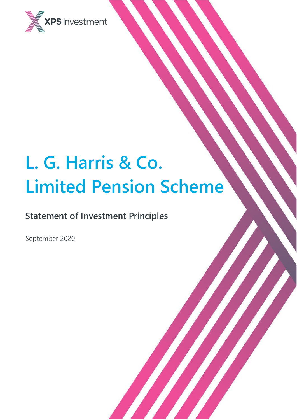

# **L. G. Harris & Co. Limited Pension Scheme**

# **Statement of Investment Principles**

September 2020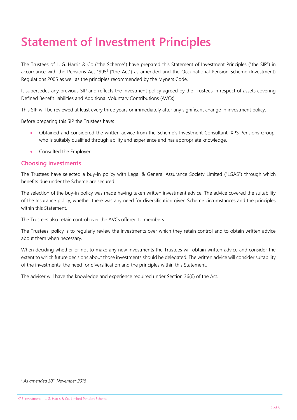# **Statement of Investment Principles**

The Trustees of L. G. Harris & Co ("the Scheme") have prepared this Statement of Investment Principles ("the SIP") in accordance with the Pensions Act 1995<sup>1</sup> ("the Act") as amended and the Occupational Pension Scheme (Investment) Regulations 2005 as well as the principles recommended by the Myners Code.

It supersedes any previous SIP and reflects the investment policy agreed by the Trustees in respect of assets covering Defined Benefit liabilities and Additional Voluntary Contributions (AVCs).

This SIP will be reviewed at least every three years or immediately after any significant change in investment policy.

Before preparing this SIP the Trustees have:

- Obtained and considered the written advice from the Scheme's Investment Consultant, XPS Pensions Group, who is suitably qualified through ability and experience and has appropriate knowledge.
- Consulted the Employer.

#### **Choosing investments**

The Trustees have selected a buy-in policy with Legal & General Assurance Society Limited ("LGAS") through which benefits due under the Scheme are secured.

The selection of the buy-in policy was made having taken written investment advice. The advice covered the suitability of the Insurance policy, whether there was any need for diversification given Scheme circumstances and the principles within this Statement.

The Trustees also retain control over the AVCs offered to members.

The Trustees' policy is to regularly review the investments over which they retain control and to obtain written advice about them when necessary.

When deciding whether or not to make any new investments the Trustees will obtain written advice and consider the extent to which future decisions about those investments should be delegated. The written advice will consider suitability of the investments, the need for diversification and the principles within this Statement.

The adviser will have the knowledge and experience required under Section 36(6) of the Act.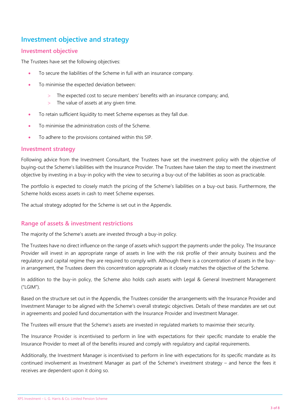# **Investment objective and strategy**

## **Investment objective**

The Trustees have set the following objectives:

- To secure the liabilities of the Scheme in full with an insurance company.
- To minimise the expected deviation between:
	- The expected cost to secure members' benefits with an insurance company; and,
	- $>$  The value of assets at any given time.
- To retain sufficient liquidity to meet Scheme expenses as they fall due.
- To minimise the administration costs of the Scheme.
- To adhere to the provisions contained within this SIP.

#### **Investment strategy**

Following advice from the Investment Consultant, the Trustees have set the investment policy with the objective of buying-out the Scheme's liabilities with the Insurance Provider. The Trustees have taken the step to meet the investment objective by investing in a buy-in policy with the view to securing a buy-out of the liabilities as soon as practicable.

The portfolio is expected to closely match the pricing of the Scheme's liabilities on a buy-out basis. Furthermore, the Scheme holds excess assets in cash to meet Scheme expenses.

The actual strategy adopted for the Scheme is set out in the Appendix.

# **Range of assets & investment restrictions**

The majority of the Scheme's assets are invested through a buy-in policy.

The Trustees have no direct influence on the range of assets which support the payments under the policy. The Insurance Provider will invest in an appropriate range of assets in line with the risk profile of their annuity business and the regulatory and capital regime they are required to comply with. Although there is a concentration of assets in the buyin arrangement, the Trustees deem this concentration appropriate as it closely matches the objective of the Scheme.

In addition to the buy-in policy, the Scheme also holds cash assets with Legal & General Investment Management ("LGIM").

Based on the structure set out in the Appendix, the Trustees consider the arrangements with the Insurance Provider and Investment Manager to be aligned with the Scheme's overall strategic objectives. Details of these mandates are set out in agreements and pooled fund documentation with the Insurance Provider and Investment Manager.

The Trustees will ensure that the Scheme's assets are invested in regulated markets to maximise their security.

The Insurance Provider is incentivised to perform in line with expectations for their specific mandate to enable the Insurance Provider to meet all of the benefits insured and comply with regulatory and capital requirements.

Additionally, the Investment Manager is incentivised to perform in line with expectations for its specific mandate as its continued involvement as Investment Manager as part of the Scheme's investment strategy – and hence the fees it receives are dependent upon it doing so.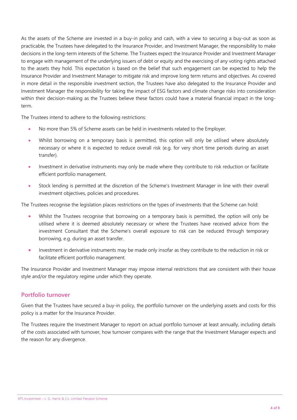As the assets of the Scheme are invested in a buy-in policy and cash, with a view to securing a buy-out as soon as practicable, the Trustees have delegated to the Insurance Provider, and Investment Manager, the responsibility to make decisions in the long-term interests of the Scheme. The Trustees expect the Insurance Provider and Investment Manager to engage with management of the underlying issuers of debt or equity and the exercising of any voting rights attached to the assets they hold. This expectation is based on the belief that such engagement can be expected to help the Insurance Provider and Investment Manager to mitigate risk and improve long term returns and objectives. As covered in more detail in the responsible investment section, the Trustees have also delegated to the Insurance Provider and Investment Manager the responsibility for taking the impact of ESG factors and climate change risks into consideration within their decision-making as the Trustees believe these factors could have a material financial impact in the longterm.

The Trustees intend to adhere to the following restrictions:

- No more than 5% of Scheme assets can be held in investments related to the Employer.
- Whilst borrowing on a temporary basis is permitted, this option will only be utilised where absolutely necessary or where it is expected to reduce overall risk (e.g. for very short time periods during an asset transfer).
- Investment in derivative instruments may only be made where they contribute to risk reduction or facilitate efficient portfolio management.
- Stock lending is permitted at the discretion of the Scheme's Investment Manager in line with their overall investment objectives, policies and procedures.

The Trustees recognise the legislation places restrictions on the types of investments that the Scheme can hold:

- Whilst the Trustees recognise that borrowing on a temporary basis is permitted, the option will only be utilised where it is deemed absolutely necessary or where the Trustees have received advice from the investment Consultant that the Scheme's overall exposure to risk can be reduced through temporary borrowing, e.g. during an asset transfer.
- Investment in derivative instruments may be made only insofar as they contribute to the reduction in risk or facilitate efficient portfolio management.

The Insurance Provider and Investment Manager may impose internal restrictions that are consistent with their house style and/or the regulatory regime under which they operate.

### **Portfolio turnover**

Given that the Trustees have secured a buy-in policy, the portfolio turnover on the underlying assets and costs for this policy is a matter for the Insurance Provider.

The Trustees require the Investment Manager to report on actual portfolio turnover at least annually, including details of the costs associated with turnover, how turnover compares with the range that the Investment Manager expects and the reason for any divergence.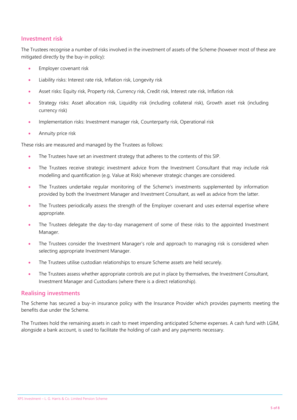## **Investment risk**

The Trustees recognise a number of risks involved in the investment of assets of the Scheme (however most of these are mitigated directly by the buy-in policy):

- Employer covenant risk
- Liability risks: Interest rate risk, Inflation risk, Longevity risk
- Asset risks: Equity risk, Property risk, Currency risk, Credit risk, Interest rate risk, Inflation risk
- Strategy risks: Asset allocation risk, Liquidity risk (including collateral risk), Growth asset risk (including currency risk)
- Implementation risks: Investment manager risk, Counterparty risk, Operational risk
- Annuity price risk

These risks are measured and managed by the Trustees as follows:

- The Trustees have set an investment strategy that adheres to the contents of this SIP.
- The Trustees receive strategic investment advice from the Investment Consultant that may include risk modelling and quantification (e.g. Value at Risk) whenever strategic changes are considered.
- The Trustees undertake regular monitoring of the Scheme's investments supplemented by information provided by both the Investment Manager and Investment Consultant, as well as advice from the latter.
- The Trustees periodically assess the strength of the Employer covenant and uses external expertise where appropriate.
- The Trustees delegate the day-to-day management of some of these risks to the appointed Investment Manager.
- The Trustees consider the Investment Manager's role and approach to managing risk is considered when selecting appropriate Investment Manager.
- The Trustees utilise custodian relationships to ensure Scheme assets are held securely.
- The Trustees assess whether appropriate controls are put in place by themselves, the Investment Consultant, Investment Manager and Custodians (where there is a direct relationship).

#### **Realising investments**

The Scheme has secured a buy-in insurance policy with the Insurance Provider which provides payments meeting the benefits due under the Scheme.

The Trustees hold the remaining assets in cash to meet impending anticipated Scheme expenses. A cash fund with LGIM, alongside a bank account, is used to facilitate the holding of cash and any payments necessary.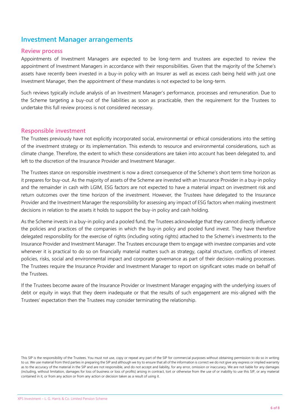# **Investment Manager arrangements**

#### **Review process**

Appointments of Investment Managers are expected to be long-term and trustees are expected to review the appointment of Investment Managers in accordance with their responsibilities. Given that the majority of the Scheme's assets have recently been invested in a buy-in policy with an Insurer as well as excess cash being held with just one Investment Manager, then the appointment of these mandates is not expected to be long-term.

Such reviews typically include analysis of an Investment Manager's performance, processes and remuneration. Due to the Scheme targeting a buy-out of the liabilities as soon as practicable, then the requirement for the Trustees to undertake this full review process is not considered necessary.

#### **Responsible investment**

The Trustees previously have not explicitly incorporated social, environmental or ethical considerations into the setting of the investment strategy or its implementation. This extends to resource and environmental considerations, such as climate change. Therefore, the extent to which these considerations are taken into account has been delegated to, and left to the discretion of the Insurance Provider and Investment Manager.

The Trustees stance on responsible investment is now a direct consequence of the Scheme's short term time horizon as it prepares for buy-out. As the majority of assets of the Scheme are invested with an Insurance Provider in a buy-in policy and the remainder in cash with LGIM, ESG factors are not expected to have a material impact on investment risk and return outcomes over the time horizon of the investment. However, the Trustees have delegated to the Insurance Provider and the Investment Manager the responsibility for assessing any impact of ESG factors when making investment decisions in relation to the assets it holds to support the buy-in policy and cash holding.

As the Scheme invests in a buy-in policy and a pooled fund, the Trustees acknowledge that they cannot directly influence the policies and practices of the companies in which the buy-in policy and pooled fund invest. They have therefore delegated responsibility for the exercise of rights (including voting rights) attached to the Scheme's investments to the Insurance Provider and Investment Manager. The Trustees encourage them to engage with investee companies and vote whenever it is practical to do so on financially material matters such as strategy, capital structure, conflicts of interest policies, risks, social and environmental impact and corporate governance as part of their decision-making processes. The Trustees require the Insurance Provider and Investment Manager to report on significant votes made on behalf of the Trustees.

If the Trustees become aware of the Insurance Provider or Investment Manager engaging with the underlying issuers of debt or equity in ways that they deem inadequate or that the results of such engagement are mis-aligned with the Trustees' expectation then the Trustees may consider terminating the relationship.

This SIP is the responsibility of the Trustees. You must not use, copy or repeat any part of the SIP for commercial purposes without obtaining permission to do so in writing to us. We use material from third parties in preparing the SIP and although we try to ensure that all of the information is correct we do not give any express or implied warranty as to the accuracy of the material in the SIP and are not responsible, and do not accept and liability, for any error, omission or inaccuracy. We are not liable for any damages (including, without limitation, damages for loss of business or loss of profits) arising in contract, tort or otherwise from the use of or inability to use this SIP, or any material contained in it, or from any action or from any action or decision taken as a result of using it.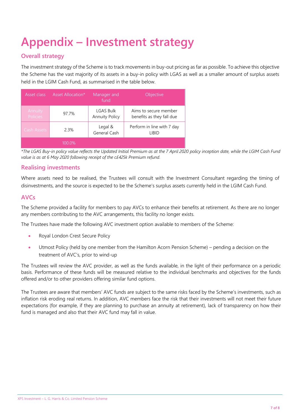# **Appendix – Investment strategy**

# **Overall strategy**

The investment strategy of the Scheme is to track movements in buy-out pricing as far as possible. To achieve this objective the Scheme has the vast majority of its assets in a buy-in policy with LGAS as well as a smaller amount of surplus assets held in the LGIM Cash Fund, as summarised in the table below.

| Asset class                | Asset Allocation* | Manager and<br>fund                       | <b>Objective</b>                                   |
|----------------------------|-------------------|-------------------------------------------|----------------------------------------------------|
| Annuity<br><b>Policies</b> | 97.7%             | <b>LGAS Bulk</b><br><b>Annuity Policy</b> | Aims to secure member<br>benefits as they fall due |
| Cash Assets                | 2.3%              | Legal &<br>General Cash                   | Perform in line with 7 day<br>LIBID                |
|                            | 100.0%            |                                           |                                                    |

*\*The LGAS Buy-in policy value reflects the Updated Initial Premium as at the 7 April 2020 policy inception date, while the LGIM Cash Fund value is as at 6 May 2020 following receipt of the c£425k Premium refund.*

# **Realising investments**

Where assets need to be realised, the Trustees will consult with the Investment Consultant regarding the timing of disinvestments, and the source is expected to be the Scheme's surplus assets currently held in the LGIM Cash Fund.

# **AVCs**

The Scheme provided a facility for members to pay AVCs to enhance their benefits at retirement. As there are no longer any members contributing to the AVC arrangements, this facility no longer exists.

The Trustees have made the following AVC investment option available to members of the Scheme:

- Royal London Crest Secure Policy
- Utmost Policy (held by one member from the Hamilton Acorn Pension Scheme) pending a decision on the treatment of AVC's, prior to wind-up

The Trustees will review the AVC provider, as well as the funds available, in the light of their performance on a periodic basis. Performance of these funds will be measured relative to the individual benchmarks and objectives for the funds offered and/or to other providers offering similar fund options.

The Trustees are aware that members' AVC funds are subject to the same risks faced by the Scheme's investments, such as inflation risk eroding real returns. In addition, AVC members face the risk that their investments will not meet their future expectations (for example, if they are planning to purchase an annuity at retirement), lack of transparency on how their fund is managed and also that their AVC fund may fall in value.